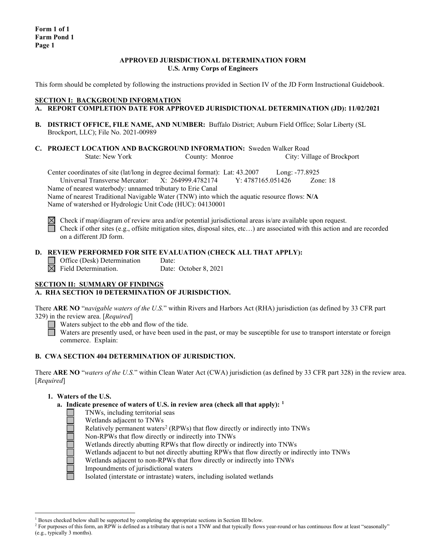### **APPROVED JURISDICTIONAL DETERMINATION FORM U.S. Army Corps of Engineers**

This form should be completed by following the instructions provided in Section IV of the JD Form Instructional Guidebook.

### **SECTION I: BACKGROUND INFORMATION**

- **A. REPORT COMPLETION DATE FOR APPROVED JURISDICTIONAL DETERMINATION (JD): 11/02/2021**
- **B. DISTRICT OFFICE, FILE NAME, AND NUMBER:** Buffalo District; Auburn Field Office; Solar Liberty (SL Brockport, LLC); File No. 2021-00989
- **C. PROJECT LOCATION AND BACKGROUND INFORMATION:** Sweden Walker Road<br>State: New York County: Monroe City: Vil City: Village of Brockport

Center coordinates of site (lat/long in degree decimal format): Lat: 43.2007 Long: -77.8925 Universal Transverse Mercator: X: 264999.4782174 Y: 4787165.051426 Zone: 18 Name of nearest waterbody: unnamed tributary to Erie Canal Name of nearest Traditional Navigable Water (TNW) into which the aquatic resource flows: **N/A** Name of watershed or Hydrologic Unit Code (HUC): 04130001

 $\boxtimes$  Check if map/diagram of review area and/or potential jurisdictional areas is/are available upon request. Check if other sites (e.g., offsite mitigation sites, disposal sites, etc...) are associated with this action and are recorded on a different JD form.

### **D. REVIEW PERFORMED FOR SITE EVALUATION (CHECK ALL THAT APPLY):**

 $\Box$  Office (Desk) Determination Date:<br>  $\boxtimes$  Field Determination. Date: Date: October 8, 2021

**SECTION II: SUMMARY OF FINDINGS**

# **A. RHA SECTION 10 DETERMINATION OF JURISDICTION.**

There **ARE NO** "*navigable waters of the U.S.*" within Rivers and Harbors Act (RHA) jurisdiction (as defined by 33 CFR part 329) in the review area. [*Required*]

Waters subject to the ebb and flow of the tide.

Waters are presently used, or have been used in the past, or may be susceptible for use to transport interstate or foreign commerce. Explain:

### **B. CWA SECTION 404 DETERMINATION OF JURISDICTION.**

There **ARE NO** "*waters of the U.S.*" within Clean Water Act (CWA) jurisdiction (as defined by 33 CFR part 328) in the review area. [*Required*]

### **1. Waters of the U.S.**

- **a. Indicate presence of waters of U.S. in review area (check all that apply): [1](#page-0-0)**
	- TNWs, including territorial seas
		- Wetlands adjacent to TNWs
	- Relatively permanent waters<sup>[2](#page-0-1)</sup> (RPWs) that flow directly or indirectly into TNWs
	- Non-RPWs that flow directly or indirectly into TNWs
	- Wetlands directly abutting RPWs that flow directly or indirectly into TNWs
	- Wetlands adjacent to but not directly abutting RPWs that flow directly or indirectly into TNWs
	- Wetlands adjacent to non-RPWs that flow directly or indirectly into TNWs
	- Impoundments of jurisdictional waters

Isolated (interstate or intrastate) waters, including isolated wetlands

 $1$  Boxes checked below shall be supported by completing the appropriate sections in Section III below.

<span id="page-0-1"></span><span id="page-0-0"></span><sup>&</sup>lt;sup>2</sup> For purposes of this form, an RPW is defined as a tributary that is not a TNW and that typically flows year-round or has continuous flow at least "seasonally" (e.g., typically 3 months).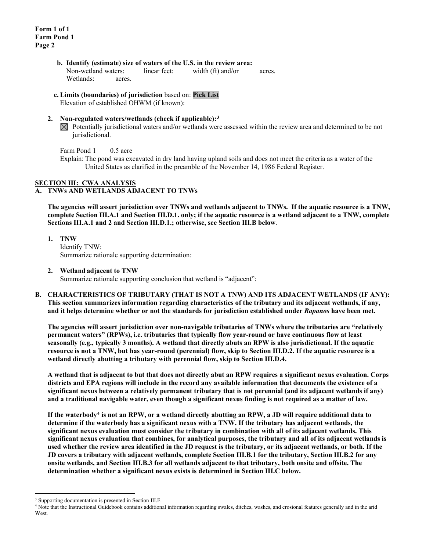- **b. Identify (estimate) size of waters of the U.S. in the review area:** Non-wetland waters: linear feet: width (ft) and/or acres. Wetlands: acres.
- **c. Limits (boundaries) of jurisdiction** based on: **Pick List**

Elevation of established OHWM (if known):

## **2. Non-regulated waters/wetlands (check if applicable):[3](#page-1-0)**

 $\boxtimes$  Potentially jurisdictional waters and/or wetlands were assessed within the review area and determined to be not jurisdictional.

Farm Pond 1 0.5 acre

Explain: The pond was excavated in dry land having upland soils and does not meet the criteria as a water of the United States as clarified in the preamble of the November 14, 1986 Federal Register.

## **SECTION III: CWA ANALYSIS**

### **A. TNWs AND WETLANDS ADJACENT TO TNWs**

**The agencies will assert jurisdiction over TNWs and wetlands adjacent to TNWs. If the aquatic resource is a TNW, complete Section III.A.1 and Section III.D.1. only; if the aquatic resource is a wetland adjacent to a TNW, complete Sections III.A.1 and 2 and Section III.D.1.; otherwise, see Section III.B below**.

**1. TNW**  Identify TNW: Summarize rationale supporting determination:

### **2. Wetland adjacent to TNW**

Summarize rationale supporting conclusion that wetland is "adjacent":

**B. CHARACTERISTICS OF TRIBUTARY (THAT IS NOT A TNW) AND ITS ADJACENT WETLANDS (IF ANY): This section summarizes information regarding characteristics of the tributary and its adjacent wetlands, if any, and it helps determine whether or not the standards for jurisdiction established under** *Rapanos* **have been met.** 

**The agencies will assert jurisdiction over non-navigable tributaries of TNWs where the tributaries are "relatively permanent waters" (RPWs), i.e. tributaries that typically flow year-round or have continuous flow at least seasonally (e.g., typically 3 months). A wetland that directly abuts an RPW is also jurisdictional. If the aquatic resource is not a TNW, but has year-round (perennial) flow, skip to Section III.D.2. If the aquatic resource is a wetland directly abutting a tributary with perennial flow, skip to Section III.D.4.** 

**A wetland that is adjacent to but that does not directly abut an RPW requires a significant nexus evaluation. Corps districts and EPA regions will include in the record any available information that documents the existence of a significant nexus between a relatively permanent tributary that is not perennial (and its adjacent wetlands if any) and a traditional navigable water, even though a significant nexus finding is not required as a matter of law.**

**If the waterbody[4](#page-1-1) is not an RPW, or a wetland directly abutting an RPW, a JD will require additional data to determine if the waterbody has a significant nexus with a TNW. If the tributary has adjacent wetlands, the significant nexus evaluation must consider the tributary in combination with all of its adjacent wetlands. This significant nexus evaluation that combines, for analytical purposes, the tributary and all of its adjacent wetlands is used whether the review area identified in the JD request is the tributary, or its adjacent wetlands, or both. If the JD covers a tributary with adjacent wetlands, complete Section III.B.1 for the tributary, Section III.B.2 for any onsite wetlands, and Section III.B.3 for all wetlands adjacent to that tributary, both onsite and offsite. The determination whether a significant nexus exists is determined in Section III.C below.**

<span id="page-1-0"></span><sup>&</sup>lt;sup>3</sup> Supporting documentation is presented in Section III.F.

<span id="page-1-1"></span><sup>4</sup> Note that the Instructional Guidebook contains additional information regarding swales, ditches, washes, and erosional features generally and in the arid **West**.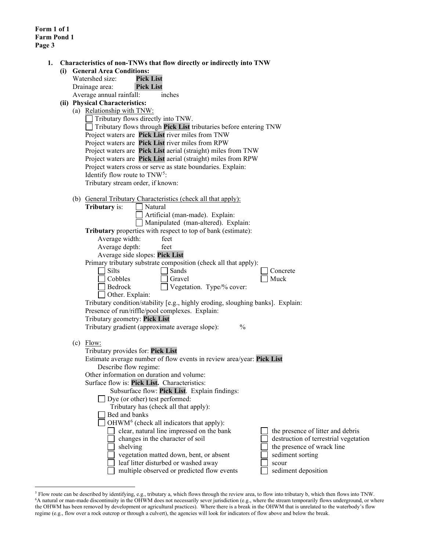**Form 1 of 1 Farm Pond 1 Page 3**

|  | (i) General Area Conditions:<br><b>Pick List</b><br>Watershed size:             |                                                                     |  |  |  |  |
|--|---------------------------------------------------------------------------------|---------------------------------------------------------------------|--|--|--|--|
|  | <b>Pick List</b><br>Drainage area:                                              |                                                                     |  |  |  |  |
|  | Average annual rainfall:<br>inches                                              |                                                                     |  |  |  |  |
|  | (ii) Physical Characteristics:                                                  |                                                                     |  |  |  |  |
|  |                                                                                 |                                                                     |  |  |  |  |
|  | (a) Relationship with TNW:<br>Tributary flows directly into TNW.                |                                                                     |  |  |  |  |
|  | Tributary flows through Pick List tributaries before entering TNW               |                                                                     |  |  |  |  |
|  | Project waters are Pick List river miles from TNW                               |                                                                     |  |  |  |  |
|  | Project waters are Pick List river miles from RPW                               |                                                                     |  |  |  |  |
|  | Project waters are Pick List aerial (straight) miles from TNW                   |                                                                     |  |  |  |  |
|  | Project waters are Pick List aerial (straight) miles from RPW                   |                                                                     |  |  |  |  |
|  | Project waters cross or serve as state boundaries. Explain:                     |                                                                     |  |  |  |  |
|  | Identify flow route to TNW <sup>5</sup> :                                       |                                                                     |  |  |  |  |
|  | Tributary stream order, if known:                                               |                                                                     |  |  |  |  |
|  |                                                                                 |                                                                     |  |  |  |  |
|  | (b) General Tributary Characteristics (check all that apply):                   |                                                                     |  |  |  |  |
|  | Tributary is:<br>Natural                                                        |                                                                     |  |  |  |  |
|  | Artificial (man-made). Explain:                                                 |                                                                     |  |  |  |  |
|  | Manipulated (man-altered). Explain:                                             |                                                                     |  |  |  |  |
|  | Tributary properties with respect to top of bank (estimate):                    |                                                                     |  |  |  |  |
|  | Average width:<br>feet                                                          |                                                                     |  |  |  |  |
|  | Average depth:<br>feet                                                          |                                                                     |  |  |  |  |
|  | Average side slopes: Pick List                                                  |                                                                     |  |  |  |  |
|  | Primary tributary substrate composition (check all that apply):                 |                                                                     |  |  |  |  |
|  | Silts<br>Sands                                                                  | Concrete                                                            |  |  |  |  |
|  | Cobbles<br>Gravel                                                               | Muck                                                                |  |  |  |  |
|  | Vegetation. Type/% cover:<br>Bedrock                                            |                                                                     |  |  |  |  |
|  | Other. Explain:                                                                 |                                                                     |  |  |  |  |
|  | Tributary condition/stability [e.g., highly eroding, sloughing banks]. Explain: |                                                                     |  |  |  |  |
|  | Presence of run/riffle/pool complexes. Explain:                                 |                                                                     |  |  |  |  |
|  | Tributary geometry: Pick List                                                   |                                                                     |  |  |  |  |
|  | Tributary gradient (approximate average slope):                                 | $\frac{0}{0}$                                                       |  |  |  |  |
|  |                                                                                 |                                                                     |  |  |  |  |
|  | $(c)$ Flow:                                                                     |                                                                     |  |  |  |  |
|  | Tributary provides for: Pick List                                               |                                                                     |  |  |  |  |
|  | Estimate average number of flow events in review area/year: Pick List           |                                                                     |  |  |  |  |
|  | Describe flow regime:                                                           |                                                                     |  |  |  |  |
|  | Other information on duration and volume:                                       |                                                                     |  |  |  |  |
|  | Surface flow is: Pick List. Characteristics:                                    |                                                                     |  |  |  |  |
|  | Subsurface flow: Pick List. Explain findings:                                   |                                                                     |  |  |  |  |
|  | $\Box$ Dye (or other) test performed:                                           |                                                                     |  |  |  |  |
|  | Tributary has (check all that apply):<br>Bed and banks                          |                                                                     |  |  |  |  |
|  |                                                                                 |                                                                     |  |  |  |  |
|  | OHWM <sup>6</sup> (check all indicators that apply):                            |                                                                     |  |  |  |  |
|  | clear, natural line impressed on the bank                                       | the presence of litter and debris                                   |  |  |  |  |
|  | changes in the character of soil                                                | destruction of terrestrial vegetation<br>the presence of wrack line |  |  |  |  |
|  |                                                                                 |                                                                     |  |  |  |  |
|  | shelving                                                                        |                                                                     |  |  |  |  |
|  | vegetation matted down, bent, or absent<br>leaf litter disturbed or washed away | sediment sorting<br>scour                                           |  |  |  |  |

<span id="page-2-1"></span><span id="page-2-0"></span><sup>&</sup>lt;sup>5</sup> Flow route can be described by identifying, e.g., tributary a, which flows through the review area, to flow into tributary b, which then flows into TNW.<br><sup>6</sup>A natural or man-made discontinuity in the OHWM does not nece the OHWM has been removed by development or agricultural practices). Where there is a break in the OHWM that is unrelated to the waterbody's flow regime (e.g., flow over a rock outcrop or through a culvert), the agencies will look for indicators of flow above and below the break.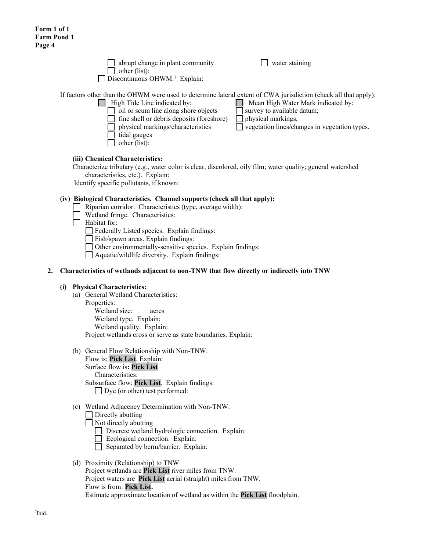| $\Box$ abrupt change in plant community<br>$\Box$ other (list):                                                              | $\Box$ water staining                 |
|------------------------------------------------------------------------------------------------------------------------------|---------------------------------------|
| $\Box$ Discontinuous OHWM. <sup>7</sup> Explain:                                                                             |                                       |
| er than the OHWM were used to determine lateral extent of CWA jurisdiction (check all<br>$\Box$ High Tide Line indicated by: | $\Box$ Mean High Water Mark indicated |

If factors other than the OHWM were used to determine lateral extent of CWA jurisdiction (check all that apply):

Line indicated by:  $\Box$  Mean High Water Mark indicated by:  $\Box$  oil or scum line along shore objects  $\Box$  survey to available datum;  $\Box$  fine shell or debris deposits (foreshore)  $\Box$  physical markings;<br>  $\Box$  physical markings/characteristics  $\Box$  vegetation lines/characteristics  $\Box$  vegetation lines/changes in vegetation types. tidal gauges  $\Box$  other (list):

## **(iii) Chemical Characteristics:**

Characterize tributary (e.g., water color is clear, discolored, oily film; water quality; general watershed characteristics, etc.). Explain:

Identify specific pollutants, if known:

# **(iv) Biological Characteristics. Channel supports (check all that apply):**

- Riparian corridor. Characteristics (type, average width):
	- Wetland fringe. Characteristics:
- $\Box$  Habitat for:

Federally Listed species. Explain findings:

Fish/spawn areas. Explain findings:

Other environmentally-sensitive species. Explain findings:

Aquatic/wildlife diversity. Explain findings:

### **2. Characteristics of wetlands adjacent to non-TNW that flow directly or indirectly into TNW**

### **(i) Physical Characteristics:**

- (a) General Wetland Characteristics:
	- Properties:

Wetland size: acres Wetland type. Explain: Wetland quality. Explain: Project wetlands cross or serve as state boundaries. Explain:

(b) General Flow Relationship with Non-TNW:

Flow is: **Pick List**. Explain: Surface flow is**: Pick List**  Characteristics: Subsurface flow: **Pick List**. Explain findings: Dye (or other) test performed:

### (c) Wetland Adjacency Determination with Non-TNW:

Directly abutting

Not directly abutting

Discrete wetland hydrologic connection. Explain:

Ecological connection. Explain:

Separated by berm/barrier. Explain:

# <span id="page-3-0"></span>(d) Proximity (Relationship) to TNW

Project wetlands are **Pick List** river miles from TNW. Project waters are **Pick List** aerial (straight) miles from TNW. Flow is from: **Pick List.** Estimate approximate location of wetland as within the **Pick List** floodplain.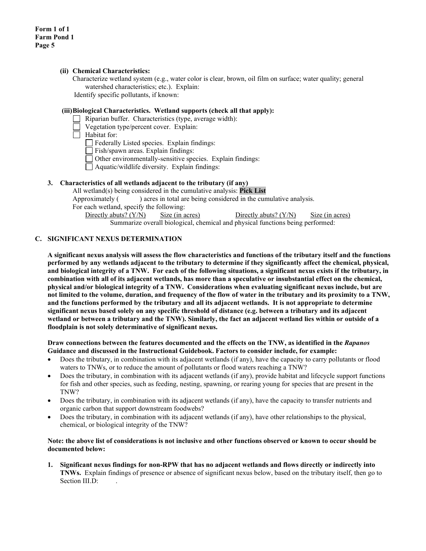### **(ii) Chemical Characteristics:**

Characterize wetland system (e.g., water color is clear, brown, oil film on surface; water quality; general watershed characteristics; etc.). Explain: Identify specific pollutants, if known:

#### **(iii)Biological Characteristics. Wetland supports (check all that apply):**

- Riparian buffer. Characteristics (type, average width):
- Vegetation type/percent cover. Explain:
- $\Box$  Habitat for:
	- Federally Listed species. Explain findings:

Fish/spawn areas. Explain findings:

- Other environmentally-sensitive species. Explain findings:
- $\Box$  Aquatic/wildlife diversity. Explain findings:

## **3. Characteristics of all wetlands adjacent to the tributary (if any)**

All wetland(s) being considered in the cumulative analysis: **Pick List** Approximately ( ) acres in total are being considered in the cumulative analysis. For each wetland, specify the following: Directly abuts? (Y/N) Size (in acres) Directly abuts? (Y/N) Size (in acres) Summarize overall biological, chemical and physical functions being performed:

### **C. SIGNIFICANT NEXUS DETERMINATION**

**A significant nexus analysis will assess the flow characteristics and functions of the tributary itself and the functions performed by any wetlands adjacent to the tributary to determine if they significantly affect the chemical, physical, and biological integrity of a TNW. For each of the following situations, a significant nexus exists if the tributary, in combination with all of its adjacent wetlands, has more than a speculative or insubstantial effect on the chemical, physical and/or biological integrity of a TNW. Considerations when evaluating significant nexus include, but are not limited to the volume, duration, and frequency of the flow of water in the tributary and its proximity to a TNW, and the functions performed by the tributary and all its adjacent wetlands. It is not appropriate to determine significant nexus based solely on any specific threshold of distance (e.g. between a tributary and its adjacent wetland or between a tributary and the TNW). Similarly, the fact an adjacent wetland lies within or outside of a floodplain is not solely determinative of significant nexus.** 

#### **Draw connections between the features documented and the effects on the TNW, as identified in the** *Rapanos* **Guidance and discussed in the Instructional Guidebook. Factors to consider include, for example:**

- Does the tributary, in combination with its adjacent wetlands (if any), have the capacity to carry pollutants or flood waters to TNWs, or to reduce the amount of pollutants or flood waters reaching a TNW?
- Does the tributary, in combination with its adjacent wetlands (if any), provide habitat and lifecycle support functions for fish and other species, such as feeding, nesting, spawning, or rearing young for species that are present in the TNW?
- Does the tributary, in combination with its adjacent wetlands (if any), have the capacity to transfer nutrients and organic carbon that support downstream foodwebs?
- Does the tributary, in combination with its adjacent wetlands (if any), have other relationships to the physical, chemical, or biological integrity of the TNW?

#### **Note: the above list of considerations is not inclusive and other functions observed or known to occur should be documented below:**

**1. Significant nexus findings for non-RPW that has no adjacent wetlands and flows directly or indirectly into TNWs.** Explain findings of presence or absence of significant nexus below, based on the tributary itself, then go to Section III.D: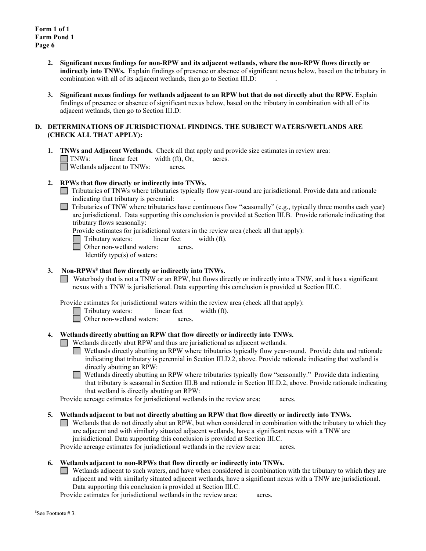- **2. Significant nexus findings for non-RPW and its adjacent wetlands, where the non-RPW flows directly or indirectly into TNWs.** Explain findings of presence or absence of significant nexus below, based on the tributary in combination with all of its adjacent wetlands, then go to Section III.D:
- **3. Significant nexus findings for wetlands adjacent to an RPW but that do not directly abut the RPW.** Explain findings of presence or absence of significant nexus below, based on the tributary in combination with all of its adjacent wetlands, then go to Section III.D:

### **D. DETERMINATIONS OF JURISDICTIONAL FINDINGS. THE SUBJECT WATERS/WETLANDS ARE (CHECK ALL THAT APPLY):**

**1. TNWs and Adjacent Wetlands.** Check all that apply and provide size estimates in review area: TNWs: linear feet width (ft), Or, acres. Wetlands adjacent to TNWs: acres.

### **2. RPWs that flow directly or indirectly into TNWs.**

- Tributaries of TNWs where tributaries typically flow year-round are jurisdictional. Provide data and rationale indicating that tributary is perennial: .
- Tributaries of TNW where tributaries have continuous flow "seasonally" (e.g., typically three months each year) are jurisdictional. Data supporting this conclusion is provided at Section III.B. Provide rationale indicating that tributary flows seasonally:

Provide estimates for jurisdictional waters in the review area (check all that apply):

- Tributary waters: linear feet width (ft).
- Other non-wetland waters: acres.
	- Identify type(s) of waters:

## **3. Non-RPWs[8](#page-5-0) that flow directly or indirectly into TNWs.**

Waterbody that is not a TNW or an RPW, but flows directly or indirectly into a TNW, and it has a significant nexus with a TNW is jurisdictional. Data supporting this conclusion is provided at Section III.C.

Provide estimates for jurisdictional waters within the review area (check all that apply):

- Tributary waters: linear feet width (ft).
- □ Other non-wetland waters: acres.

### **4. Wetlands directly abutting an RPW that flow directly or indirectly into TNWs.**

Wetlands directly abut RPW and thus are jurisdictional as adjacent wetlands.

- Wetlands directly abutting an RPW where tributaries typically flow year-round. Provide data and rationale indicating that tributary is perennial in Section III.D.2, above. Provide rationale indicating that wetland is directly abutting an RPW:
- $\Box$ Wetlands directly abutting an RPW where tributaries typically flow "seasonally." Provide data indicating that tributary is seasonal in Section III.B and rationale in Section III.D.2, above. Provide rationale indicating that wetland is directly abutting an RPW:

Provide acreage estimates for jurisdictional wetlands in the review area: acres.

- **5. Wetlands adjacent to but not directly abutting an RPW that flow directly or indirectly into TNWs.**
	- Wetlands that do not directly abut an RPW, but when considered in combination with the tributary to which they are adjacent and with similarly situated adjacent wetlands, have a significant nexus with a TNW are jurisidictional. Data supporting this conclusion is provided at Section III.C.

Provide acreage estimates for jurisdictional wetlands in the review area: acres.

### **6. Wetlands adjacent to non-RPWs that flow directly or indirectly into TNWs.**

Wetlands adjacent to such waters, and have when considered in combination with the tributary to which they are adjacent and with similarly situated adjacent wetlands, have a significant nexus with a TNW are jurisdictional. Data supporting this conclusion is provided at Section III.C.

<span id="page-5-0"></span>Provide estimates for jurisdictional wetlands in the review area: acres.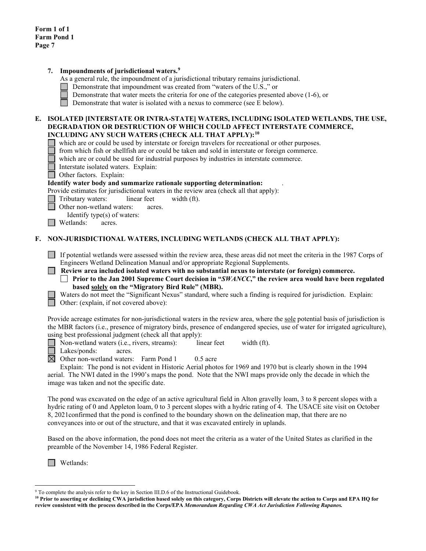|    | Impoundments of jurisdictional waters. <sup>9</sup><br>7.<br>As a general rule, the impoundment of a jurisdictional tributary remains jurisdictional.<br>Demonstrate that impoundment was created from "waters of the U.S.," or<br>Demonstrate that water meets the criteria for one of the categories presented above $(1-6)$ , or<br>Demonstrate that water is isolated with a nexus to commerce (see E below).                                                                                                                                                                                                                                                                                                                                                                                                                                                                                                          |  |  |  |  |  |
|----|----------------------------------------------------------------------------------------------------------------------------------------------------------------------------------------------------------------------------------------------------------------------------------------------------------------------------------------------------------------------------------------------------------------------------------------------------------------------------------------------------------------------------------------------------------------------------------------------------------------------------------------------------------------------------------------------------------------------------------------------------------------------------------------------------------------------------------------------------------------------------------------------------------------------------|--|--|--|--|--|
|    | E. ISOLATED [INTERSTATE OR INTRA-STATE] WATERS, INCLUDING ISOLATED WETLANDS, THE USE,<br>DEGRADATION OR DESTRUCTION OF WHICH COULD AFFECT INTERSTATE COMMERCE,<br>INCLUDING ANY SUCH WATERS (CHECK ALL THAT APPLY): <sup>10</sup><br>which are or could be used by interstate or foreign travelers for recreational or other purposes.<br>from which fish or shellfish are or could be taken and sold in interstate or foreign commerce.<br>which are or could be used for industrial purposes by industries in interstate commerce.<br>Interstate isolated waters. Explain:<br>Other factors. Explain:<br>Identify water body and summarize rationale supporting determination:<br>Provide estimates for jurisdictional waters in the review area (check all that apply):<br>Tributary waters:<br>linear feet<br>width (ft).<br>Other non-wetland waters:<br>acres.<br>Identify type(s) of waters:<br>Wetlands:<br>acres. |  |  |  |  |  |
| F. | NON-JURISDICTIONAL WATERS, INCLUDING WETLANDS (CHECK ALL THAT APPLY):                                                                                                                                                                                                                                                                                                                                                                                                                                                                                                                                                                                                                                                                                                                                                                                                                                                      |  |  |  |  |  |
|    | If potential wetlands were assessed within the review area, these areas did not meet the criteria in the 1987 Corps of<br>Engineers Wetland Delineation Manual and/or appropriate Regional Supplements.<br>Review area included isolated waters with no substantial nexus to interstate (or foreign) commerce.<br>Prior to the Jan 2001 Supreme Court decision in "SWANCC," the review area would have been regulated<br>based solely on the "Migratory Bird Rule" (MBR).<br>Waters do not meet the "Significant Nexus" standard, where such a finding is required for jurisdiction. Explain:<br>Other: (explain, if not covered above):                                                                                                                                                                                                                                                                                   |  |  |  |  |  |
|    | Provide acreage estimates for non-jurisdictional waters in the review area, where the sole potential basis of jurisdiction is<br>the MBR factors (i.e., presence of migratory birds, presence of endangered species, use of water for irrigated agriculture),<br>using best professional judgment (check all that apply):<br>Non-wetland waters (i.e., rivers, streams):<br>linear feet<br>width (ft).<br>Lakes/ponds:<br>acres.<br>$\boxtimes$ Other non-wetland waters: Farm Pond 1<br>$0.5$ acre<br>Explain: The pond is not evident in Historic Aerial photos for 1969 and 1970 but is clearly shown in the 1994<br>aerial. The NWI dated in the 1990's maps the pond. Note that the NWI maps provide only the decade in which the<br>image was taken and not the specific date.                                                                                                                                       |  |  |  |  |  |
|    | The pond was excavated on the edge of an active agricultural field in Alton gravelly loam, 3 to 8 percent slopes with a<br>hydric rating of 0 and Appleton loam, 0 to 3 percent slopes with a hydric rating of 4. The USACE site visit on October<br>8, 2021 confirmed that the pond is confined to the boundary shown on the delineation map, that there are no                                                                                                                                                                                                                                                                                                                                                                                                                                                                                                                                                           |  |  |  |  |  |

Based on the above information, the pond does not meet the criteria as a water of the United States as clarified in the preamble of the November 14, 1986 Federal Register.

Wetlands:

conveyances into or out of the structure, and that it was excavated entirely in uplands.

 $9$  To complete the analysis refer to the key in Section III.D.6 of the Instructional Guidebook.

<span id="page-6-1"></span><span id="page-6-0"></span>**<sup>10</sup> Prior to asserting or declining CWA jurisdiction based solely on this category, Corps Districts will elevate the action to Corps and EPA HQ for review consistent with the process described in the Corps/EPA** *Memorandum Regarding CWA Act Jurisdiction Following Rapanos.*